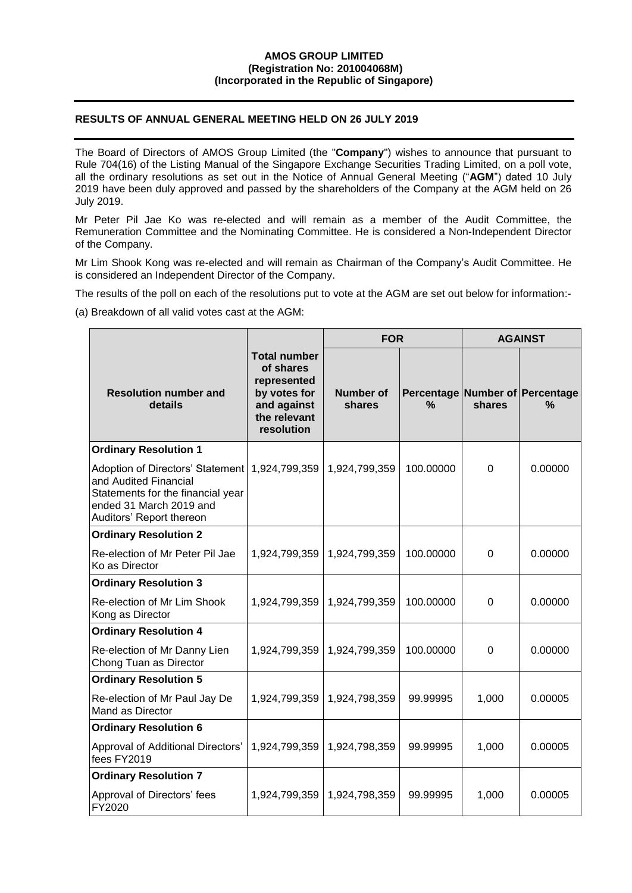## **AMOS GROUP LIMITED (Registration No: 201004068M) (Incorporated in the Republic of Singapore)**

## **RESULTS OF ANNUAL GENERAL MEETING HELD ON 26 JULY 2019**

The Board of Directors of AMOS Group Limited (the "**Company**") wishes to announce that pursuant to Rule 704(16) of the Listing Manual of the Singapore Exchange Securities Trading Limited, on a poll vote, all the ordinary resolutions as set out in the Notice of Annual General Meeting ("**AGM**") dated 10 July 2019 have been duly approved and passed by the shareholders of the Company at the AGM held on 26 July 2019.

Mr Peter Pil Jae Ko was re-elected and will remain as a member of the Audit Committee, the Remuneration Committee and the Nominating Committee. He is considered a Non-Independent Director of the Company.

Mr Lim Shook Kong was re-elected and will remain as Chairman of the Company's Audit Committee. He is considered an Independent Director of the Company.

The results of the poll on each of the resolutions put to vote at the AGM are set out below for information:-

(a) Breakdown of all valid votes cast at the AGM:

|                                                                                                                                                       |                                                                                                              |                     | <b>FOR</b>    |                | <b>AGAINST</b>                       |  |
|-------------------------------------------------------------------------------------------------------------------------------------------------------|--------------------------------------------------------------------------------------------------------------|---------------------|---------------|----------------|--------------------------------------|--|
| <b>Resolution number and</b><br>details                                                                                                               | <b>Total number</b><br>of shares<br>represented<br>by votes for<br>and against<br>the relevant<br>resolution | Number of<br>shares | $\frac{9}{6}$ | shares         | Percentage Number of Percentage<br>℅ |  |
| <b>Ordinary Resolution 1</b>                                                                                                                          |                                                                                                              |                     |               |                |                                      |  |
| Adoption of Directors' Statement<br>and Audited Financial<br>Statements for the financial year<br>ended 31 March 2019 and<br>Auditors' Report thereon | 1,924,799,359                                                                                                | 1,924,799,359       | 100.00000     | $\Omega$       | 0.00000                              |  |
| <b>Ordinary Resolution 2</b>                                                                                                                          |                                                                                                              |                     |               |                |                                      |  |
| Re-election of Mr Peter Pil Jae<br>Ko as Director                                                                                                     | 1,924,799,359                                                                                                | 1,924,799,359       | 100.00000     | $\overline{0}$ | 0.00000                              |  |
| <b>Ordinary Resolution 3</b>                                                                                                                          |                                                                                                              |                     |               |                |                                      |  |
| Re-election of Mr Lim Shook<br>Kong as Director                                                                                                       | 1,924,799,359                                                                                                | 1,924,799,359       | 100.00000     | $\Omega$       | 0.00000                              |  |
| <b>Ordinary Resolution 4</b>                                                                                                                          |                                                                                                              |                     |               |                |                                      |  |
| Re-election of Mr Danny Lien<br>Chong Tuan as Director                                                                                                | 1,924,799,359                                                                                                | 1,924,799,359       | 100.00000     | $\mathbf 0$    | 0.00000                              |  |
| <b>Ordinary Resolution 5</b>                                                                                                                          |                                                                                                              |                     |               |                |                                      |  |
| Re-election of Mr Paul Jay De<br>Mand as Director                                                                                                     | 1,924,799,359                                                                                                | 1,924,798,359       | 99.99995      | 1,000          | 0.00005                              |  |
| <b>Ordinary Resolution 6</b>                                                                                                                          |                                                                                                              |                     |               |                |                                      |  |
| Approval of Additional Directors'<br>fees FY2019                                                                                                      | 1,924,799,359                                                                                                | 1,924,798,359       | 99.99995      | 1,000          | 0.00005                              |  |
| <b>Ordinary Resolution 7</b>                                                                                                                          |                                                                                                              |                     |               |                |                                      |  |
| Approval of Directors' fees<br>FY2020                                                                                                                 | 1,924,799,359                                                                                                | 1,924,798,359       | 99.99995      | 1,000          | 0.00005                              |  |